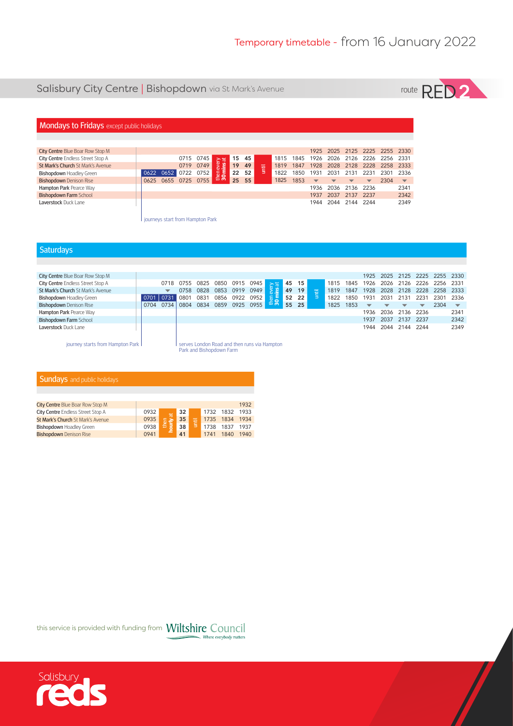# Salisbury City Centre | Bishopdown via St Mark's Avenue



## **Mondays to Fridays** except public holidays

| City Centre Blue Boar Row Stop M         |                     |           |               |       |       |             |           |      |                          |                          |                          |                         | 1925 2025 2125 2225 2255 2330 |                          |
|------------------------------------------|---------------------|-----------|---------------|-------|-------|-------------|-----------|------|--------------------------|--------------------------|--------------------------|-------------------------|-------------------------------|--------------------------|
| City Centre Endless Street Stop A        |                     | 0715 0745 |               | 15 45 |       |             | 1815      |      | 1845 1926 2026           |                          | 2126 2226                |                         | 2256 2331                     |                          |
| <b>St Mark's Church St Mark's Avenue</b> |                     | 0719 0749 | ia<br>al      | 19 49 |       | <b>Time</b> | 1819 1847 |      |                          | 1928 2028 2128 2228      |                          |                         | 2258 2333                     |                          |
| Bishopdown Hoadley Green                 | 0622 0652 0722 0752 |           | then<br>$30m$ |       | 22 52 |             | 1822      | 1850 | 1931                     | 2031                     | 2131 2231                |                         | 2301 2336                     |                          |
|                                          |                     |           |               |       |       |             |           |      |                          |                          |                          |                         |                               |                          |
| <b>Bishopdown</b> Denison Rise           | 0625 0655 0725 0755 |           |               |       | 25 55 |             | 1825      | 1853 | $\overline{\phantom{a}}$ | $\overline{\phantom{a}}$ | $\overline{\phantom{a}}$ | $\overline{\mathbf{v}}$ | 2304                          | $\overline{\phantom{0}}$ |
| Hampton Park Pearce Way                  |                     |           |               |       |       |             |           |      | 1936                     | 2036                     | 2136 2236                |                         |                               | 2341                     |
| <b>Bishopdown Farm School</b>            |                     |           |               |       |       |             |           |      | 1937                     | 2037                     | 2137 2237                |                         |                               | 2342                     |
| Laverstock Duck Lane                     |                     |           |               |       |       |             |           |      | 1944                     | 2044                     | 2144 2244                |                         |                               | 2349                     |

journeys start from Hampton Park

#### **Saturdays**

| City Centre Blue Boar Row Stop M  |      |                         |      |      |      |      |      |     |    |       |   |      |      | 1925                     | 2025                     | 2125                     |      | 2225 2255 2330 |      |
|-----------------------------------|------|-------------------------|------|------|------|------|------|-----|----|-------|---|------|------|--------------------------|--------------------------|--------------------------|------|----------------|------|
| City Centre Endless Street Stop A |      | 0718                    | 0755 | 0825 | 0850 | 0915 | 0945 | ੇ ਨ |    | 45 15 |   | 1815 | 1845 | 1926                     | 2026                     | 2126                     | 2226 | 2256           | 2331 |
| St Mark's Church St Mark's Avenue |      | $\overline{\mathbf{v}}$ | 0758 | 0828 | 0853 | 0919 | 0949 | Ë   | 49 | 19    | 击 | 1819 | 1847 | 1928                     | 2028                     | 2128                     | 2228 | 2258           | 2333 |
| <b>Bishopdown Hoadley Green</b>   |      | 0731                    | 0801 | 0831 | 0856 | 0922 | 0952 | 듦.  |    | 52 22 | ∖ | 1822 | 1850 | 1931                     | 203'                     | 2131                     | 2231 | 2301           | 2336 |
| <b>Bishopdown</b> Denison Rise    | 0704 | 0734                    | 0804 | 0834 | 0859 | 0925 | 0955 |     | 55 | 25    |   | 1825 | 1853 | $\overline{\phantom{a}}$ | $\overline{\phantom{a}}$ | $\overline{\phantom{a}}$ | ▼    | 2304           | ▼    |
| Hampton Park Pearce Way           |      |                         |      |      |      |      |      |     |    |       |   |      |      | 1936                     | 2036                     | 2136                     | 2236 |                | 2341 |
| <b>Bishopdown Farm School</b>     |      |                         |      |      |      |      |      |     |    |       |   |      |      | 1937                     | 2037                     | 2137                     | 2237 |                | 2342 |
| <b>Laverstock Duck Lane</b>       |      |                         |      |      |      |      |      |     |    |       |   |      |      | 1944                     | 2044                     | 2144                     | 2244 |                | 2349 |
|                                   |      |                         |      |      |      |      |      |     |    |       |   |      |      |                          |                          |                          |      |                |      |

journey starts from Hampton Park

serves London Road and then runs via Hampton Park and Bishopdown Farm

| <b>Sundays</b> and public holidays |      |                       |    |   |           |                |      |
|------------------------------------|------|-----------------------|----|---|-----------|----------------|------|
|                                    |      |                       |    |   |           |                |      |
|                                    |      |                       |    |   |           |                |      |
| City Centre Blue Boar Row Stop M   |      |                       |    |   |           |                | 1932 |
| City Centre Endless Street Stop A  | 0932 | ਜ਼                    | 32 |   |           | 1732 1832 1933 |      |
| St Mark's Church St Mark's Avenue  | 0935 |                       | 35 | Ī | 1735 1834 |                | 1934 |
| <b>Bishopdown Hoadley Green</b>    | 0938 | then<br><b>hourly</b> | 38 |   | 1738      | 1837           | 1937 |
| <b>Bishopdown</b> Denison Rise     | 0941 |                       | 41 |   | 1741      | 1840           | 1940 |

this service is provided with funding from Wiltshire Council Where everybody matters